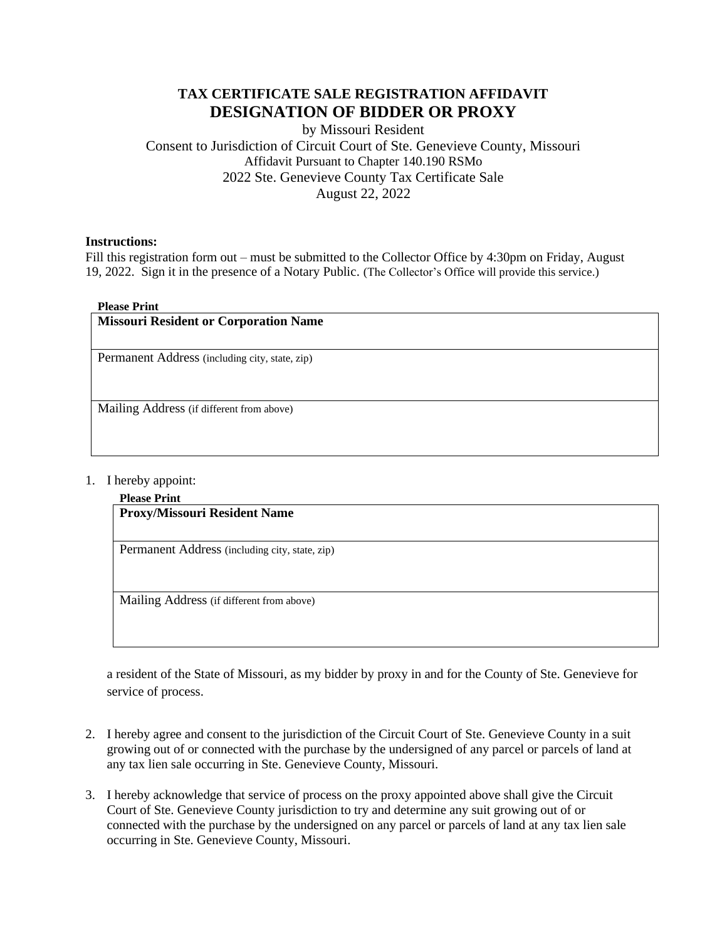# **TAX CERTIFICATE SALE REGISTRATION AFFIDAVIT DESIGNATION OF BIDDER OR PROXY**

by Missouri Resident Consent to Jurisdiction of Circuit Court of Ste. Genevieve County, Missouri Affidavit Pursuant to Chapter 140.190 RSMo 2022 Ste. Genevieve County Tax Certificate Sale August 22, 2022

### **Instructions:**

Fill this registration form out – must be submitted to the Collector Office by 4:30pm on Friday, August 19, 2022. Sign it in the presence of a Notary Public. (The Collector's Office will provide this service.)

### **Please Print**

| <b>Missouri Resident or Corporation Name</b>   |
|------------------------------------------------|
| Permanent Address (including city, state, zip) |
| Mailing Address (if different from above)      |

### 1. I hereby appoint:

#### **Please Print**

**Proxy/Missouri Resident Name** 

Permanent Address (including city, state, zip)

Mailing Address (if different from above)

a resident of the State of Missouri, as my bidder by proxy in and for the County of Ste. Genevieve for service of process.

- 2. I hereby agree and consent to the jurisdiction of the Circuit Court of Ste. Genevieve County in a suit growing out of or connected with the purchase by the undersigned of any parcel or parcels of land at any tax lien sale occurring in Ste. Genevieve County, Missouri.
- 3. I hereby acknowledge that service of process on the proxy appointed above shall give the Circuit Court of Ste. Genevieve County jurisdiction to try and determine any suit growing out of or connected with the purchase by the undersigned on any parcel or parcels of land at any tax lien sale occurring in Ste. Genevieve County, Missouri.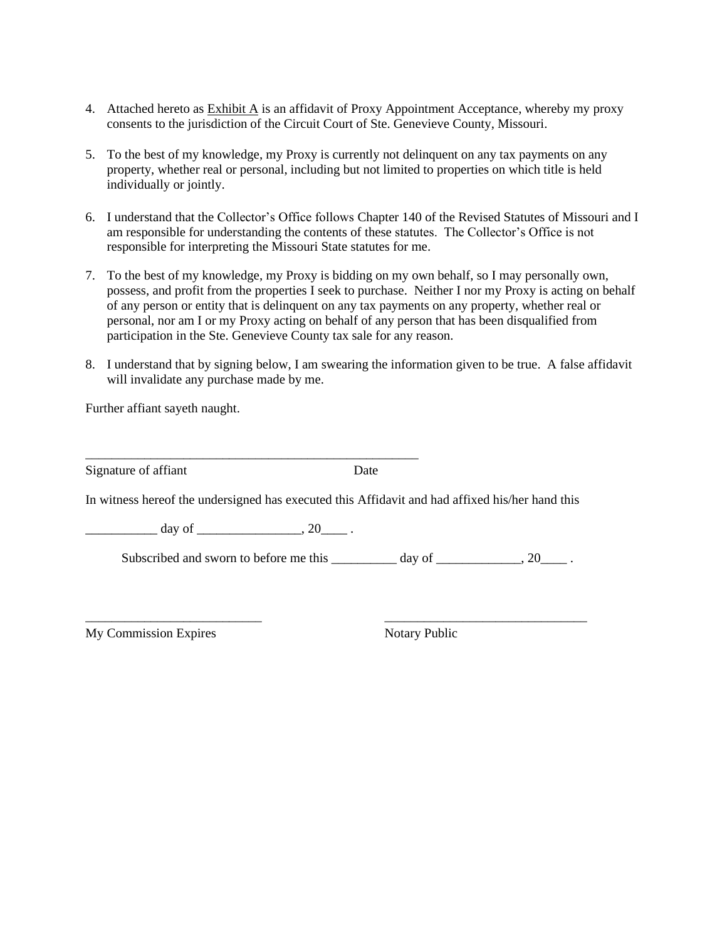- 4. Attached hereto as Exhibit A is an affidavit of Proxy Appointment Acceptance, whereby my proxy consents to the jurisdiction of the Circuit Court of Ste. Genevieve County, Missouri.
- 5. To the best of my knowledge, my Proxy is currently not delinquent on any tax payments on any property, whether real or personal, including but not limited to properties on which title is held individually or jointly.
- 6. I understand that the Collector's Office follows Chapter 140 of the Revised Statutes of Missouri and I am responsible for understanding the contents of these statutes. The Collector's Office is not responsible for interpreting the Missouri State statutes for me.
- 7. To the best of my knowledge, my Proxy is bidding on my own behalf, so I may personally own, possess, and profit from the properties I seek to purchase. Neither I nor my Proxy is acting on behalf of any person or entity that is delinquent on any tax payments on any property, whether real or personal, nor am I or my Proxy acting on behalf of any person that has been disqualified from participation in the Ste. Genevieve County tax sale for any reason.
- 8. I understand that by signing below, I am swearing the information given to be true. A false affidavit will invalidate any purchase made by me.

Further affiant sayeth naught.

| Signature of affiant | Date |
|----------------------|------|
|----------------------|------|

In witness hereof the undersigned has executed this Affidavit and had affixed his/her hand this

 $\frac{day \text{ of }$ 

\_\_\_\_\_\_\_\_\_\_\_\_\_\_\_\_\_\_\_\_\_\_\_\_\_\_\_\_\_\_\_\_\_\_\_\_\_\_\_\_\_\_\_\_\_\_\_\_\_\_\_

Subscribed and sworn to before me this \_\_\_\_\_\_\_\_\_ day of \_\_\_\_\_\_\_\_\_\_, 20\_\_\_\_\_.

\_\_\_\_\_\_\_\_\_\_\_\_\_\_\_\_\_\_\_\_\_\_\_\_\_\_\_ \_\_\_\_\_\_\_\_\_\_\_\_\_\_\_\_\_\_\_\_\_\_\_\_\_\_\_\_\_\_\_

My Commission Expires Notary Public